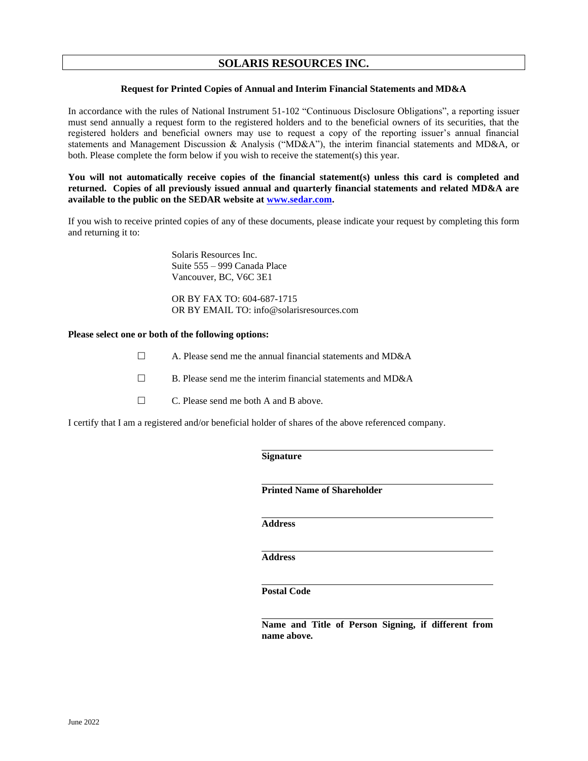# **SOLARIS RESOURCES INC.**

## **Request for Printed Copies of Annual and Interim Financial Statements and MD&A**

In accordance with the rules of National Instrument 51-102 "Continuous Disclosure Obligations", a reporting issuer must send annually a request form to the registered holders and to the beneficial owners of its securities, that the registered holders and beneficial owners may use to request a copy of the reporting issuer's annual financial statements and Management Discussion & Analysis ("MD&A"), the interim financial statements and MD&A, or both. Please complete the form below if you wish to receive the statement(s) this year.

**You will not automatically receive copies of the financial statement(s) unless this card is completed and returned. Copies of all previously issued annual and quarterly financial statements and related MD&A are available to the public on the SEDAR website at [www.sedar.com.](http://www.sedar.com/)**

If you wish to receive printed copies of any of these documents, please indicate your request by completing this form and returning it to:

> Solaris Resources Inc. Suite 555 – 999 Canada Place Vancouver, BC, V6C 3E1

OR BY FAX TO: 604-687-1715 OR BY EMAIL TO: info@solarisresources.com

#### **Please select one or both of the following options:**

- $\Box$  A. Please send me the annual financial statements and MD&A
- $\Box$  B. Please send me the interim financial statements and MD&A
- □ C. Please send me both A and B above.

I certify that I am a registered and/or beneficial holder of shares of the above referenced company.

#### **Signature**

**Printed Name of Shareholder**

**Address**

**Address**

**Postal Code**

**Name and Title of Person Signing, if different from name above.**